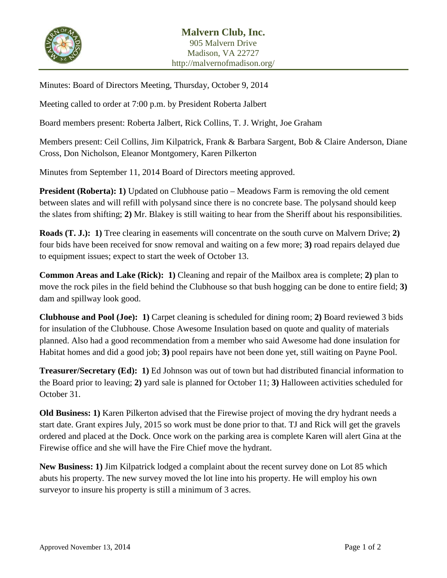

Minutes: Board of Directors Meeting, Thursday, October 9, 2014

Meeting called to order at 7:00 p.m. by President Roberta Jalbert

Board members present: Roberta Jalbert, Rick Collins, T. J. Wright, Joe Graham

Members present: Ceil Collins, Jim Kilpatrick, Frank & Barbara Sargent, Bob & Claire Anderson, Diane Cross, Don Nicholson, Eleanor Montgomery, Karen Pilkerton

Minutes from September 11, 2014 Board of Directors meeting approved.

**President (Roberta): 1)** Updated on Clubhouse patio – Meadows Farm is removing the old cement between slates and will refill with polysand since there is no concrete base. The polysand should keep the slates from shifting; **2)** Mr. Blakey is still waiting to hear from the Sheriff about his responsibilities.

**Roads (T. J.): 1)** Tree clearing in easements will concentrate on the south curve on Malvern Drive; **2)** four bids have been received for snow removal and waiting on a few more; **3)** road repairs delayed due to equipment issues; expect to start the week of October 13.

**Common Areas and Lake (Rick): 1)** Cleaning and repair of the Mailbox area is complete; **2)** plan to move the rock piles in the field behind the Clubhouse so that bush hogging can be done to entire field; **3)** dam and spillway look good.

**Clubhouse and Pool (Joe): 1)** Carpet cleaning is scheduled for dining room; **2)** Board reviewed 3 bids for insulation of the Clubhouse. Chose Awesome Insulation based on quote and quality of materials planned. Also had a good recommendation from a member who said Awesome had done insulation for Habitat homes and did a good job; **3)** pool repairs have not been done yet, still waiting on Payne Pool.

**Treasurer/Secretary (Ed): 1)** Ed Johnson was out of town but had distributed financial information to the Board prior to leaving; **2)** yard sale is planned for October 11; **3)** Halloween activities scheduled for October 31.

**Old Business: 1)** Karen Pilkerton advised that the Firewise project of moving the dry hydrant needs a start date. Grant expires July, 2015 so work must be done prior to that. TJ and Rick will get the gravels ordered and placed at the Dock. Once work on the parking area is complete Karen will alert Gina at the Firewise office and she will have the Fire Chief move the hydrant.

**New Business: 1)** Jim Kilpatrick lodged a complaint about the recent survey done on Lot 85 which abuts his property. The new survey moved the lot line into his property. He will employ his own surveyor to insure his property is still a minimum of 3 acres.